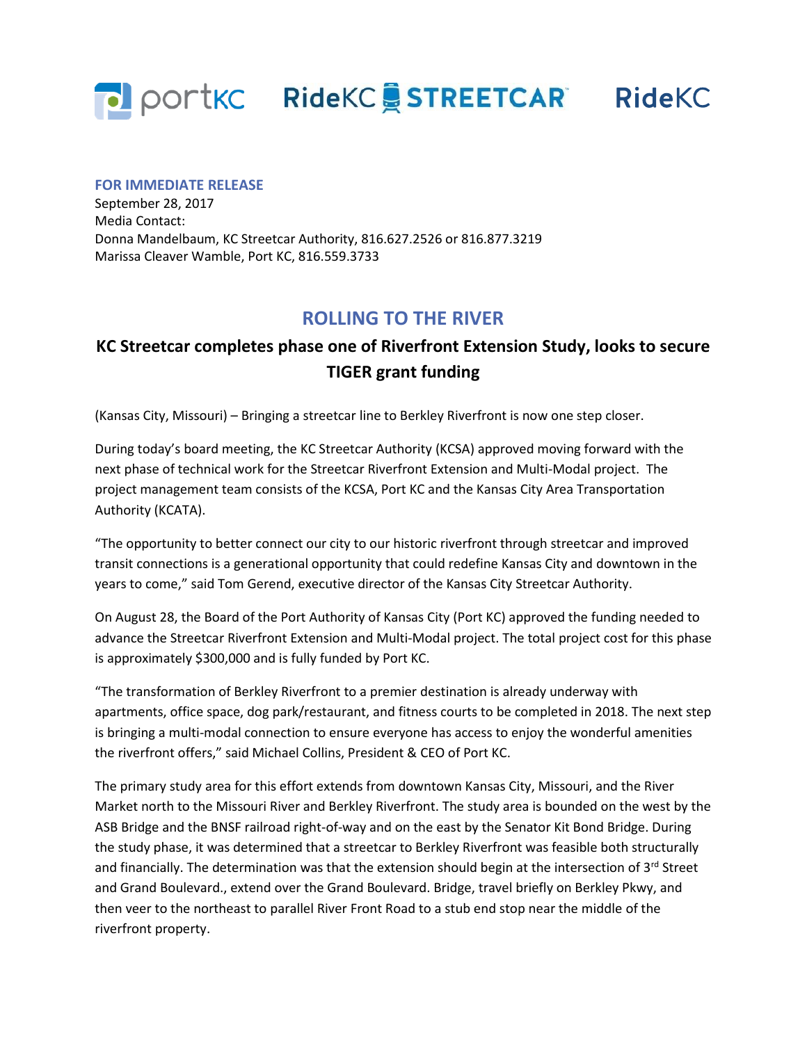

## **FOR IMMEDIATE RELEASE**

September 28, 2017 Media Contact: Donna Mandelbaum, KC Streetcar Authority, 816.627.2526 or 816.877.3219 Marissa Cleaver Wamble, Port KC, 816.559.3733

## **ROLLING TO THE RIVER**

## **KC Streetcar completes phase one of Riverfront Extension Study, looks to secure TIGER grant funding**

(Kansas City, Missouri) – Bringing a streetcar line to Berkley Riverfront is now one step closer.

During today's board meeting, the KC Streetcar Authority (KCSA) approved moving forward with the next phase of technical work for the Streetcar Riverfront Extension and Multi-Modal project. The project management team consists of the KCSA, Port KC and the Kansas City Area Transportation Authority (KCATA).

"The opportunity to better connect our city to our historic riverfront through streetcar and improved transit connections is a generational opportunity that could redefine Kansas City and downtown in the years to come," said Tom Gerend, executive director of the Kansas City Streetcar Authority.

On August 28, the Board of the Port Authority of Kansas City (Port KC) approved the funding needed to advance the Streetcar Riverfront Extension and Multi-Modal project. The total project cost for this phase is approximately \$300,000 and is fully funded by Port KC.

"The transformation of Berkley Riverfront to a premier destination is already underway with apartments, office space, dog park/restaurant, and fitness courts to be completed in 2018. The next step is bringing a multi-modal connection to ensure everyone has access to enjoy the wonderful amenities the riverfront offers," said Michael Collins, President & CEO of Port KC.

The primary study area for this effort extends from downtown Kansas City, Missouri, and the River Market north to the Missouri River and Berkley Riverfront. The study area is bounded on the west by the ASB Bridge and the BNSF railroad right-of-way and on the east by the Senator Kit Bond Bridge. During the study phase, it was determined that a streetcar to Berkley Riverfront was feasible both structurally and financially. The determination was that the extension should begin at the intersection of 3<sup>rd</sup> Street and Grand Boulevard., extend over the Grand Boulevard. Bridge, travel briefly on Berkley Pkwy, and then veer to the northeast to parallel River Front Road to a stub end stop near the middle of the riverfront property.